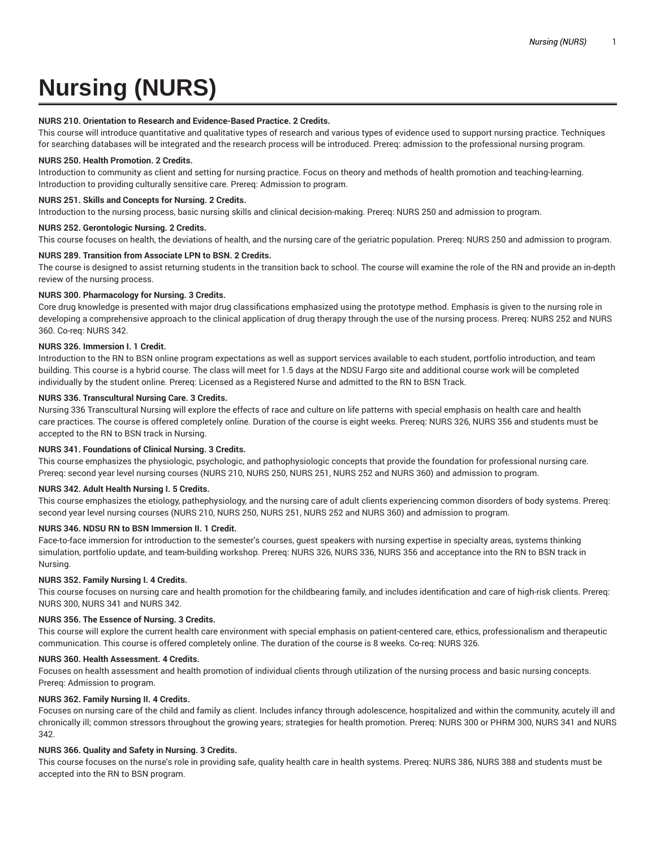# **Nursing (NURS)**

## **NURS 210. Orientation to Research and Evidence-Based Practice. 2 Credits.**

This course will introduce quantitative and qualitative types of research and various types of evidence used to support nursing practice. Techniques for searching databases will be integrated and the research process will be introduced. Prereq: admission to the professional nursing program.

#### **NURS 250. Health Promotion. 2 Credits.**

Introduction to community as client and setting for nursing practice. Focus on theory and methods of health promotion and teaching-learning. Introduction to providing culturally sensitive care. Prereq: Admission to program.

#### **NURS 251. Skills and Concepts for Nursing. 2 Credits.**

Introduction to the nursing process, basic nursing skills and clinical decision-making. Prereq: NURS 250 and admission to program.

#### **NURS 252. Gerontologic Nursing. 2 Credits.**

This course focuses on health, the deviations of health, and the nursing care of the geriatric population. Prereq: NURS 250 and admission to program.

#### **NURS 289. Transition from Associate LPN to BSN. 2 Credits.**

The course is designed to assist returning students in the transition back to school. The course will examine the role of the RN and provide an in-depth review of the nursing process.

# **NURS 300. Pharmacology for Nursing. 3 Credits.**

Core drug knowledge is presented with major drug classifications emphasized using the prototype method. Emphasis is given to the nursing role in developing a comprehensive approach to the clinical application of drug therapy through the use of the nursing process. Prereq: NURS 252 and NURS 360. Co-req: NURS 342.

#### **NURS 326. Immersion I. 1 Credit.**

Introduction to the RN to BSN online program expectations as well as support services available to each student, portfolio introduction, and team building. This course is a hybrid course. The class will meet for 1.5 days at the NDSU Fargo site and additional course work will be completed individually by the student online. Prereq: Licensed as a Registered Nurse and admitted to the RN to BSN Track.

#### **NURS 336. Transcultural Nursing Care. 3 Credits.**

Nursing 336 Transcultural Nursing will explore the effects of race and culture on life patterns with special emphasis on health care and health care practices. The course is offered completely online. Duration of the course is eight weeks. Prereq: NURS 326, NURS 356 and students must be accepted to the RN to BSN track in Nursing.

# **NURS 341. Foundations of Clinical Nursing. 3 Credits.**

This course emphasizes the physiologic, psychologic, and pathophysiologic concepts that provide the foundation for professional nursing care. Prereq: second year level nursing courses (NURS 210, NURS 250, NURS 251, NURS 252 and NURS 360) and admission to program.

#### **NURS 342. Adult Health Nursing I. 5 Credits.**

This course emphasizes the etiology, pathephysiology, and the nursing care of adult clients experiencing common disorders of body systems. Prereq: second year level nursing courses (NURS 210, NURS 250, NURS 251, NURS 252 and NURS 360) and admission to program.

# **NURS 346. NDSU RN to BSN Immersion II. 1 Credit.**

Face-to-face immersion for introduction to the semester's courses, guest speakers with nursing expertise in specialty areas, systems thinking simulation, portfolio update, and team-building workshop. Prereq: NURS 326, NURS 336, NURS 356 and acceptance into the RN to BSN track in Nursing.

## **NURS 352. Family Nursing I. 4 Credits.**

This course focuses on nursing care and health promotion for the childbearing family, and includes identification and care of high-risk clients. Prereq: NURS 300, NURS 341 and NURS 342.

# **NURS 356. The Essence of Nursing. 3 Credits.**

This course will explore the current health care environment with special emphasis on patient-centered care, ethics, professionalism and therapeutic communication. This course is offered completely online. The duration of the course is 8 weeks. Co-req: NURS 326.

# **NURS 360. Health Assessment. 4 Credits.**

Focuses on health assessment and health promotion of individual clients through utilization of the nursing process and basic nursing concepts. Prereq: Admission to program.

## **NURS 362. Family Nursing II. 4 Credits.**

Focuses on nursing care of the child and family as client. Includes infancy through adolescence, hospitalized and within the community, acutely ill and chronically ill; common stressors throughout the growing years; strategies for health promotion. Prereq: NURS 300 or PHRM 300, NURS 341 and NURS 342.

# **NURS 366. Quality and Safety in Nursing. 3 Credits.**

This course focuses on the nurse's role in providing safe, quality health care in health systems. Prereq: NURS 386, NURS 388 and students must be accepted into the RN to BSN program.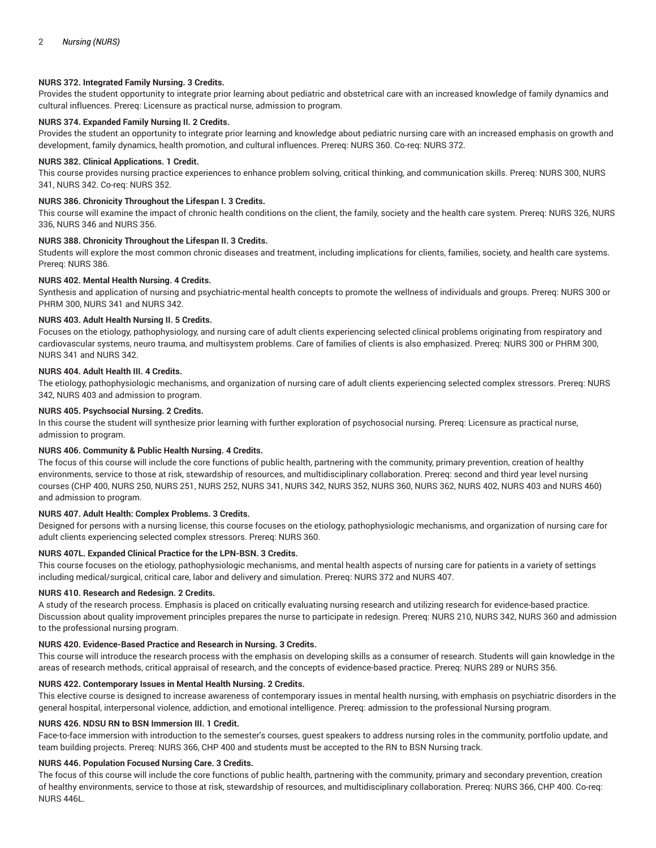# **NURS 372. Integrated Family Nursing. 3 Credits.**

Provides the student opportunity to integrate prior learning about pediatric and obstetrical care with an increased knowledge of family dynamics and cultural influences. Prereq: Licensure as practical nurse, admission to program.

# **NURS 374. Expanded Family Nursing II. 2 Credits.**

Provides the student an opportunity to integrate prior learning and knowledge about pediatric nursing care with an increased emphasis on growth and development, family dynamics, health promotion, and cultural influences. Prereq: NURS 360. Co-req: NURS 372.

## **NURS 382. Clinical Applications. 1 Credit.**

This course provides nursing practice experiences to enhance problem solving, critical thinking, and communication skills. Prereq: NURS 300, NURS 341, NURS 342. Co-req: NURS 352.

# **NURS 386. Chronicity Throughout the Lifespan I. 3 Credits.**

This course will examine the impact of chronic health conditions on the client, the family, society and the health care system. Prereq: NURS 326, NURS 336, NURS 346 and NURS 356.

# **NURS 388. Chronicity Throughout the Lifespan II. 3 Credits.**

Students will explore the most common chronic diseases and treatment, including implications for clients, families, society, and health care systems. Prereq: NURS 386.

#### **NURS 402. Mental Health Nursing. 4 Credits.**

Synthesis and application of nursing and psychiatric-mental health concepts to promote the wellness of individuals and groups. Prereq: NURS 300 or PHRM 300, NURS 341 and NURS 342.

### **NURS 403. Adult Health Nursing II. 5 Credits.**

Focuses on the etiology, pathophysiology, and nursing care of adult clients experiencing selected clinical problems originating from respiratory and cardiovascular systems, neuro trauma, and multisystem problems. Care of families of clients is also emphasized. Prereq: NURS 300 or PHRM 300, NURS 341 and NURS 342.

# **NURS 404. Adult Health III. 4 Credits.**

The etiology, pathophysiologic mechanisms, and organization of nursing care of adult clients experiencing selected complex stressors. Prereq: NURS 342, NURS 403 and admission to program.

#### **NURS 405. Psychsocial Nursing. 2 Credits.**

In this course the student will synthesize prior learning with further exploration of psychosocial nursing. Prereq: Licensure as practical nurse, admission to program.

# **NURS 406. Community & Public Health Nursing. 4 Credits.**

The focus of this course will include the core functions of public health, partnering with the community, primary prevention, creation of healthy environments, service to those at risk, stewardship of resources, and multidisciplinary collaboration. Prereq: second and third year level nursing courses (CHP 400, NURS 250, NURS 251, NURS 252, NURS 341, NURS 342, NURS 352, NURS 360, NURS 362, NURS 402, NURS 403 and NURS 460) and admission to program.

# **NURS 407. Adult Health: Complex Problems. 3 Credits.**

Designed for persons with a nursing license, this course focuses on the etiology, pathophysiologic mechanisms, and organization of nursing care for adult clients experiencing selected complex stressors. Prereq: NURS 360.

# **NURS 407L. Expanded Clinical Practice for the LPN-BSN. 3 Credits.**

This course focuses on the etiology, pathophysiologic mechanisms, and mental health aspects of nursing care for patients in a variety of settings including medical/surgical, critical care, labor and delivery and simulation. Prereq: NURS 372 and NURS 407.

# **NURS 410. Research and Redesign. 2 Credits.**

A study of the research process. Emphasis is placed on critically evaluating nursing research and utilizing research for evidence-based practice. Discussion about quality improvement principles prepares the nurse to participate in redesign. Prereq: NURS 210, NURS 342, NURS 360 and admission to the professional nursing program.

# **NURS 420. Evidence-Based Practice and Research in Nursing. 3 Credits.**

This course will introduce the research process with the emphasis on developing skills as a consumer of research. Students will gain knowledge in the areas of research methods, critical appraisal of research, and the concepts of evidence-based practice. Prereq: NURS 289 or NURS 356.

#### **NURS 422. Contemporary Issues in Mental Health Nursing. 2 Credits.**

This elective course is designed to increase awareness of contemporary issues in mental health nursing, with emphasis on psychiatric disorders in the general hospital, interpersonal violence, addiction, and emotional intelligence. Prereq: admission to the professional Nursing program.

# **NURS 426. NDSU RN to BSN Immersion III. 1 Credit.**

Face-to-face immersion with introduction to the semester's courses, guest speakers to address nursing roles in the community, portfolio update, and team building projects. Prereq: NURS 366, CHP 400 and students must be accepted to the RN to BSN Nursing track.

# **NURS 446. Population Focused Nursing Care. 3 Credits.**

The focus of this course will include the core functions of public health, partnering with the community, primary and secondary prevention, creation of healthy environments, service to those at risk, stewardship of resources, and multidisciplinary collaboration. Prereq: NURS 366, CHP 400. Co-req: NURS 446L.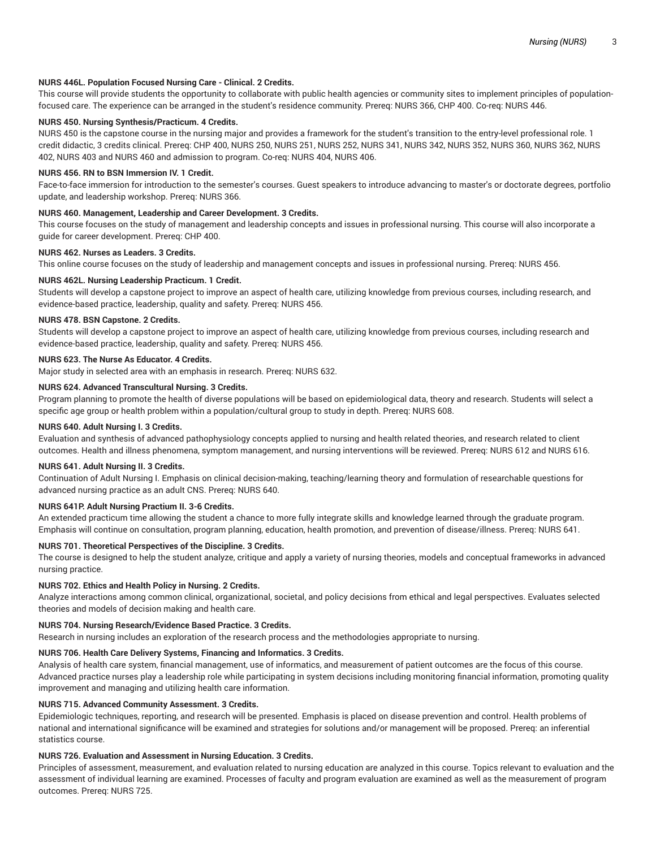# **NURS 446L. Population Focused Nursing Care - Clinical. 2 Credits.**

This course will provide students the opportunity to collaborate with public health agencies or community sites to implement principles of populationfocused care. The experience can be arranged in the student's residence community. Prereq: NURS 366, CHP 400. Co-req: NURS 446.

# **NURS 450. Nursing Synthesis/Practicum. 4 Credits.**

NURS 450 is the capstone course in the nursing major and provides a framework for the student's transition to the entry-level professional role. 1 credit didactic, 3 credits clinical. Prereq: CHP 400, NURS 250, NURS 251, NURS 252, NURS 341, NURS 342, NURS 352, NURS 360, NURS 362, NURS 402, NURS 403 and NURS 460 and admission to program. Co-req: NURS 404, NURS 406.

#### **NURS 456. RN to BSN Immersion IV. 1 Credit.**

Face-to-face immersion for introduction to the semester's courses. Guest speakers to introduce advancing to master's or doctorate degrees, portfolio update, and leadership workshop. Prereq: NURS 366.

#### **NURS 460. Management, Leadership and Career Development. 3 Credits.**

This course focuses on the study of management and leadership concepts and issues in professional nursing. This course will also incorporate a guide for career development. Prereq: CHP 400.

# **NURS 462. Nurses as Leaders. 3 Credits.**

This online course focuses on the study of leadership and management concepts and issues in professional nursing. Prereq: NURS 456.

#### **NURS 462L. Nursing Leadership Practicum. 1 Credit.**

Students will develop a capstone project to improve an aspect of health care, utilizing knowledge from previous courses, including research, and evidence-based practice, leadership, quality and safety. Prereq: NURS 456.

### **NURS 478. BSN Capstone. 2 Credits.**

Students will develop a capstone project to improve an aspect of health care, utilizing knowledge from previous courses, including research and evidence-based practice, leadership, quality and safety. Prereq: NURS 456.

# **NURS 623. The Nurse As Educator. 4 Credits.**

Major study in selected area with an emphasis in research. Prereq: NURS 632.

# **NURS 624. Advanced Transcultural Nursing. 3 Credits.**

Program planning to promote the health of diverse populations will be based on epidemiological data, theory and research. Students will select a specific age group or health problem within a population/cultural group to study in depth. Prereq: NURS 608.

#### **NURS 640. Adult Nursing I. 3 Credits.**

Evaluation and synthesis of advanced pathophysiology concepts applied to nursing and health related theories, and research related to client outcomes. Health and illness phenomena, symptom management, and nursing interventions will be reviewed. Prereq: NURS 612 and NURS 616.

#### **NURS 641. Adult Nursing II. 3 Credits.**

Continuation of Adult Nursing I. Emphasis on clinical decision-making, teaching/learning theory and formulation of researchable questions for advanced nursing practice as an adult CNS. Prereq: NURS 640.

# **NURS 641P. Adult Nursing Practium II. 3-6 Credits.**

An extended practicum time allowing the student a chance to more fully integrate skills and knowledge learned through the graduate program. Emphasis will continue on consultation, program planning, education, health promotion, and prevention of disease/illness. Prereq: NURS 641.

# **NURS 701. Theoretical Perspectives of the Discipline. 3 Credits.**

The course is designed to help the student analyze, critique and apply a variety of nursing theories, models and conceptual frameworks in advanced nursing practice.

#### **NURS 702. Ethics and Health Policy in Nursing. 2 Credits.**

Analyze interactions among common clinical, organizational, societal, and policy decisions from ethical and legal perspectives. Evaluates selected theories and models of decision making and health care.

# **NURS 704. Nursing Research/Evidence Based Practice. 3 Credits.**

Research in nursing includes an exploration of the research process and the methodologies appropriate to nursing.

# **NURS 706. Health Care Delivery Systems, Financing and Informatics. 3 Credits.**

Analysis of health care system, financial management, use of informatics, and measurement of patient outcomes are the focus of this course. Advanced practice nurses play a leadership role while participating in system decisions including monitoring financial information, promoting quality improvement and managing and utilizing health care information.

#### **NURS 715. Advanced Community Assessment. 3 Credits.**

Epidemiologic techniques, reporting, and research will be presented. Emphasis is placed on disease prevention and control. Health problems of national and international significance will be examined and strategies for solutions and/or management will be proposed. Prereq: an inferential statistics course.

# **NURS 726. Evaluation and Assessment in Nursing Education. 3 Credits.**

Principles of assessment, measurement, and evaluation related to nursing education are analyzed in this course. Topics relevant to evaluation and the assessment of individual learning are examined. Processes of faculty and program evaluation are examined as well as the measurement of program outcomes. Prereq: NURS 725.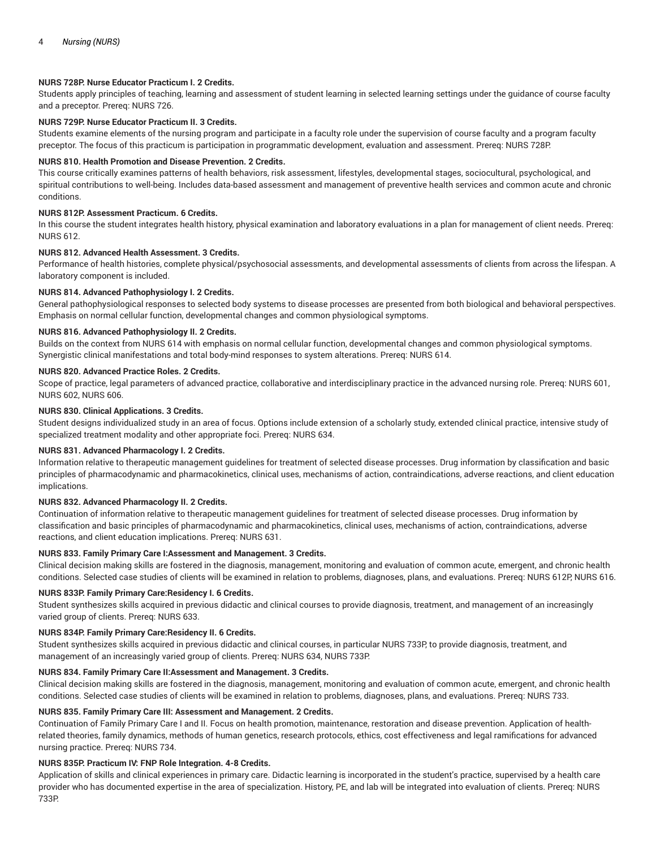# **NURS 728P. Nurse Educator Practicum I. 2 Credits.**

Students apply principles of teaching, learning and assessment of student learning in selected learning settings under the guidance of course faculty and a preceptor. Prereq: NURS 726.

# **NURS 729P. Nurse Educator Practicum II. 3 Credits.**

Students examine elements of the nursing program and participate in a faculty role under the supervision of course faculty and a program faculty preceptor. The focus of this practicum is participation in programmatic development, evaluation and assessment. Prereq: NURS 728P.

#### **NURS 810. Health Promotion and Disease Prevention. 2 Credits.**

This course critically examines patterns of health behaviors, risk assessment, lifestyles, developmental stages, sociocultural, psychological, and spiritual contributions to well-being. Includes data-based assessment and management of preventive health services and common acute and chronic conditions.

# **NURS 812P. Assessment Practicum. 6 Credits.**

In this course the student integrates health history, physical examination and laboratory evaluations in a plan for management of client needs. Prereq: NURS 612.

# **NURS 812. Advanced Health Assessment. 3 Credits.**

Performance of health histories, complete physical/psychosocial assessments, and developmental assessments of clients from across the lifespan. A laboratory component is included.

# **NURS 814. Advanced Pathophysiology I. 2 Credits.**

General pathophysiological responses to selected body systems to disease processes are presented from both biological and behavioral perspectives. Emphasis on normal cellular function, developmental changes and common physiological symptoms.

# **NURS 816. Advanced Pathophysiology II. 2 Credits.**

Builds on the context from NURS 614 with emphasis on normal cellular function, developmental changes and common physiological symptoms. Synergistic clinical manifestations and total body-mind responses to system alterations. Prereq: NURS 614.

#### **NURS 820. Advanced Practice Roles. 2 Credits.**

Scope of practice, legal parameters of advanced practice, collaborative and interdisciplinary practice in the advanced nursing role. Prereq: NURS 601, NURS 602, NURS 606.

#### **NURS 830. Clinical Applications. 3 Credits.**

Student designs individualized study in an area of focus. Options include extension of a scholarly study, extended clinical practice, intensive study of specialized treatment modality and other appropriate foci. Prereq: NURS 634.

# **NURS 831. Advanced Pharmacology I. 2 Credits.**

Information relative to therapeutic management guidelines for treatment of selected disease processes. Drug information by classification and basic principles of pharmacodynamic and pharmacokinetics, clinical uses, mechanisms of action, contraindications, adverse reactions, and client education implications.

# **NURS 832. Advanced Pharmacology II. 2 Credits.**

Continuation of information relative to therapeutic management guidelines for treatment of selected disease processes. Drug information by classification and basic principles of pharmacodynamic and pharmacokinetics, clinical uses, mechanisms of action, contraindications, adverse reactions, and client education implications. Prereq: NURS 631.

# **NURS 833. Family Primary Care I:Assessment and Management. 3 Credits.**

Clinical decision making skills are fostered in the diagnosis, management, monitoring and evaluation of common acute, emergent, and chronic health conditions. Selected case studies of clients will be examined in relation to problems, diagnoses, plans, and evaluations. Prereq: NURS 612P, NURS 616.

#### **NURS 833P. Family Primary Care:Residency I. 6 Credits.**

Student synthesizes skills acquired in previous didactic and clinical courses to provide diagnosis, treatment, and management of an increasingly varied group of clients. Prereq: NURS 633.

#### **NURS 834P. Family Primary Care:Residency II. 6 Credits.**

Student synthesizes skills acquired in previous didactic and clinical courses, in particular NURS 733P, to provide diagnosis, treatment, and management of an increasingly varied group of clients. Prereq: NURS 634, NURS 733P.

#### **NURS 834. Family Primary Care II:Assessment and Management. 3 Credits.**

Clinical decision making skills are fostered in the diagnosis, management, monitoring and evaluation of common acute, emergent, and chronic health conditions. Selected case studies of clients will be examined in relation to problems, diagnoses, plans, and evaluations. Prereq: NURS 733.

## **NURS 835. Family Primary Care III: Assessment and Management. 2 Credits.**

Continuation of Family Primary Care I and II. Focus on health promotion, maintenance, restoration and disease prevention. Application of healthrelated theories, family dynamics, methods of human genetics, research protocols, ethics, cost effectiveness and legal ramifications for advanced nursing practice. Prereq: NURS 734.

#### **NURS 835P. Practicum IV: FNP Role Integration. 4-8 Credits.**

Application of skills and clinical experiences in primary care. Didactic learning is incorporated in the student's practice, supervised by a health care provider who has documented expertise in the area of specialization. History, PE, and lab will be integrated into evaluation of clients. Prereq: NURS 733P.